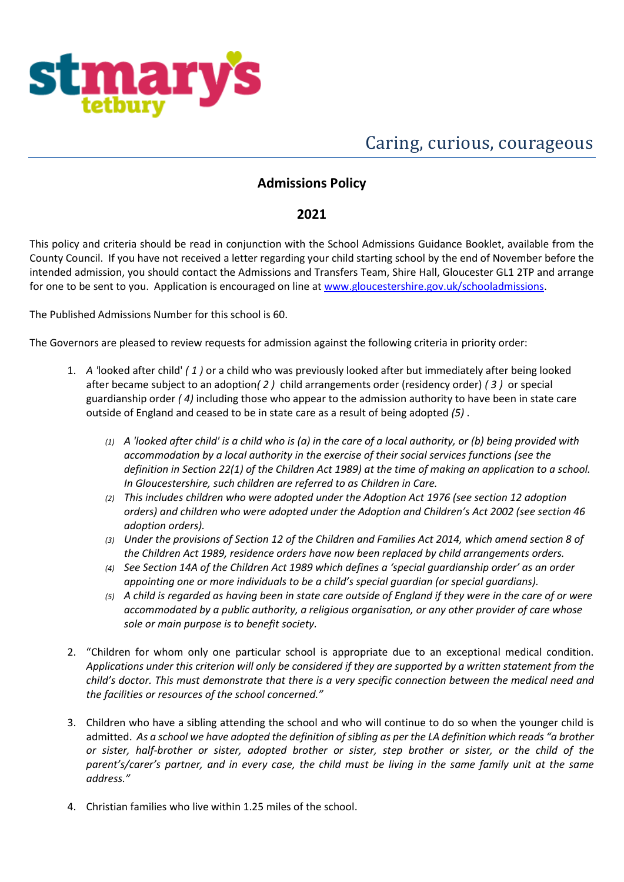

# Caring, curious, courageous

### **Admissions Policy**

### **2021**

This policy and criteria should be read in conjunction with the School Admissions Guidance Booklet, available from the County Council. If you have not received a letter regarding your child starting school by the end of November before the intended admission, you should contact the Admissions and Transfers Team, Shire Hall, Gloucester GL1 2TP and arrange for one to be sent to you. Application is encouraged on line at [www.gloucestershire.gov.uk/schooladmissions.](http://www.gloucestershire.gov.uk/schooladmissions)

The Published Admissions Number for this school is 60.

The Governors are pleased to review requests for admission against the following criteria in priority order:

- 1. *A '*looked after child' *( 1 )* or a child who was previously looked after but immediately after being looked after became subject to an adoption*( 2 )* child arrangements order (residency order) *( 3 )* or special guardianship order *( 4)* including those who appear to the admission authority to have been in state care outside of England and ceased to be in state care as a result of being adopted *(5)* .
	- *(1) A 'looked after child' is a child who is (a) in the care of a local authority, or (b) being provided with accommodation by a local authority in the exercise of their social services functions (see the definition in Section 22(1) of the Children Act 1989) at the time of making an application to a school. In Gloucestershire, such children are referred to as Children in Care.*
	- *(2) This includes children who were adopted under the Adoption Act 1976 (see section 12 adoption orders) and children who were adopted under the Adoption and Children's Act 2002 (see section 46 adoption orders).*
	- *(3) Under the provisions of Section 12 of the Children and Families Act 2014, which amend section 8 of the Children Act 1989, residence orders have now been replaced by child arrangements orders.*
	- *(4) See Section 14A of the Children Act 1989 which defines a 'special guardianship order' as an order appointing one or more individuals to be a child's special guardian (or special guardians).*
	- *(5) A child is regarded as having been in state care outside of England if they were in the care of or were accommodated by a public authority, a religious organisation, or any other provider of care whose sole or main purpose is to benefit society.*
- 2. "Children for whom only one particular school is appropriate due to an exceptional medical condition. *Applications under this criterion will only be considered if they are supported by a written statement from the child's doctor. This must demonstrate that there is a very specific connection between the medical need and the facilities or resources of the school concerned."*
- 3. Children who have a sibling attending the school and who will continue to do so when the younger child is admitted. *As a school we have adopted the definition of sibling as per the LA definition which reads "a brother or sister, half-brother or sister, adopted brother or sister, step brother or sister, or the child of the parent's/carer's partner, and in every case, the child must be living in the same family unit at the same address."*
- 4. Christian families who live within 1.25 miles of the school.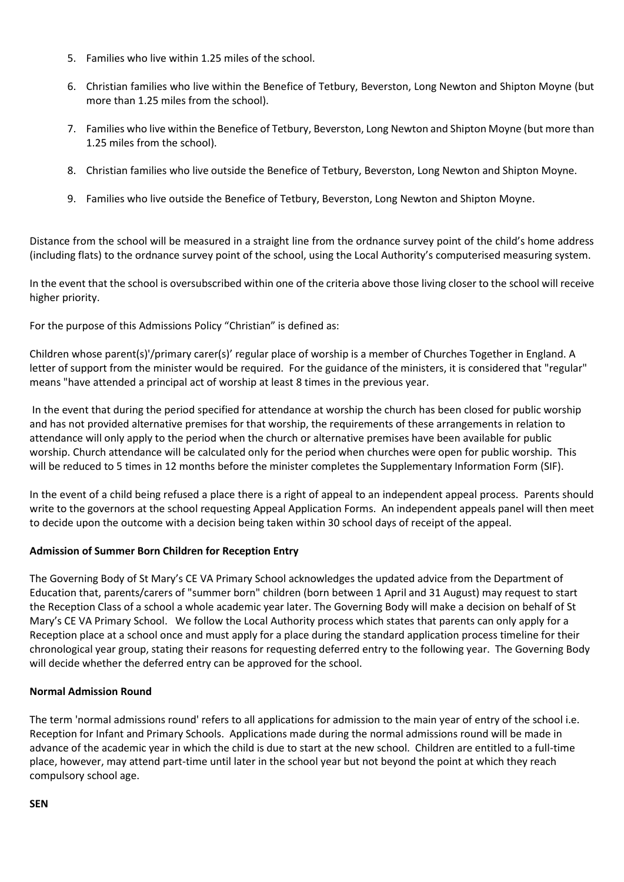- 5. Families who live within 1.25 miles of the school.
- 6. Christian families who live within the Benefice of Tetbury, Beverston, Long Newton and Shipton Moyne (but more than 1.25 miles from the school).
- 7. Families who live within the Benefice of Tetbury, Beverston, Long Newton and Shipton Moyne (but more than 1.25 miles from the school).
- 8. Christian families who live outside the Benefice of Tetbury, Beverston, Long Newton and Shipton Moyne.
- 9. Families who live outside the Benefice of Tetbury, Beverston, Long Newton and Shipton Moyne.

Distance from the school will be measured in a straight line from the ordnance survey point of the child's home address (including flats) to the ordnance survey point of the school, using the Local Authority's computerised measuring system.

In the event that the school is oversubscribed within one of the criteria above those living closer to the school will receive higher priority.

For the purpose of this Admissions Policy "Christian" is defined as:

Children whose parent(s)'/primary carer(s)' regular place of worship is a member of Churches Together in England. A letter of support from the minister would be required. For the guidance of the ministers, it is considered that "regular" means "have attended a principal act of worship at least 8 times in the previous year.

In the event that during the period specified for attendance at worship the church has been closed for public worship and has not provided alternative premises for that worship, the requirements of these arrangements in relation to attendance will only apply to the period when the church or alternative premises have been available for public worship. Church attendance will be calculated only for the period when churches were open for public worship. This will be reduced to 5 times in 12 months before the minister completes the Supplementary Information Form (SIF).

In the event of a child being refused a place there is a right of appeal to an independent appeal process. Parents should write to the governors at the school requesting Appeal Application Forms. An independent appeals panel will then meet to decide upon the outcome with a decision being taken within 30 school days of receipt of the appeal.

#### **Admission of Summer Born Children for Reception Entry**

The Governing Body of St Mary's CE VA Primary School acknowledges the updated advice from the Department of Education that, parents/carers of "summer born" children (born between 1 April and 31 August) may request to start the Reception Class of a school a whole academic year later. The Governing Body will make a decision on behalf of St Mary's CE VA Primary School. We follow the Local Authority process which states that parents can only apply for a Reception place at a school once and must apply for a place during the standard application process timeline for their chronological year group, stating their reasons for requesting deferred entry to the following year. The Governing Body will decide whether the deferred entry can be approved for the school.

#### **Normal Admission Round**

The term 'normal admissions round' refers to all applications for admission to the main year of entry of the school i.e. Reception for Infant and Primary Schools. Applications made during the normal admissions round will be made in advance of the academic year in which the child is due to start at the new school. Children are entitled to a full-time place, however, may attend part-time until later in the school year but not beyond the point at which they reach compulsory school age.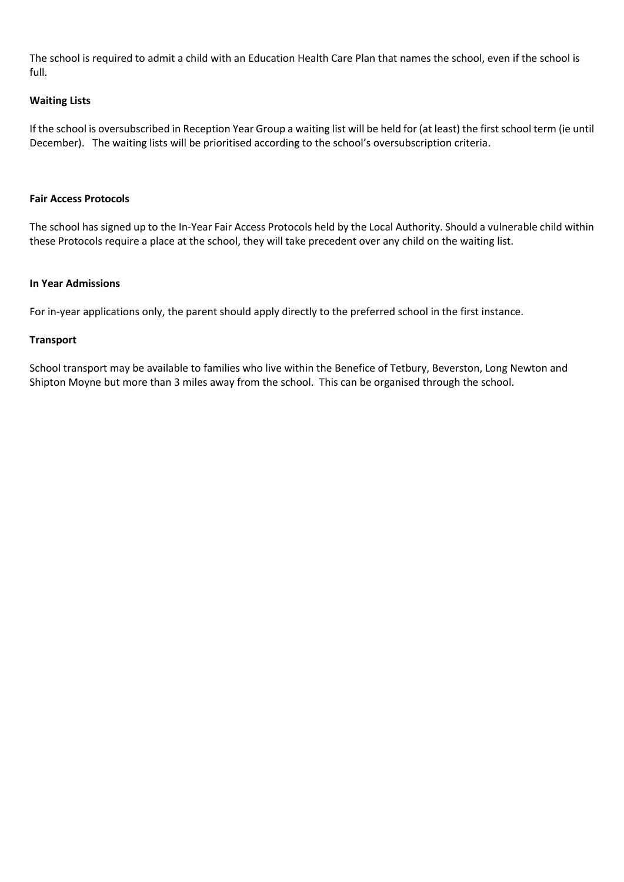The school is required to admit a child with an Education Health Care Plan that names the school, even if the school is full.

#### **Waiting Lists**

If the school is oversubscribed in Reception Year Group a waiting list will be held for (at least) the first school term (ie until December). The waiting lists will be prioritised according to the school's oversubscription criteria.

#### **Fair Access Protocols**

The school has signed up to the In-Year Fair Access Protocols held by the Local Authority. Should a vulnerable child within these Protocols require a place at the school, they will take precedent over any child on the waiting list.

#### **In Year Admissions**

For in-year applications only, the parent should apply directly to the preferred school in the first instance.

#### **Transport**

School transport may be available to families who live within the Benefice of Tetbury, Beverston, Long Newton and Shipton Moyne but more than 3 miles away from the school. This can be organised through the school.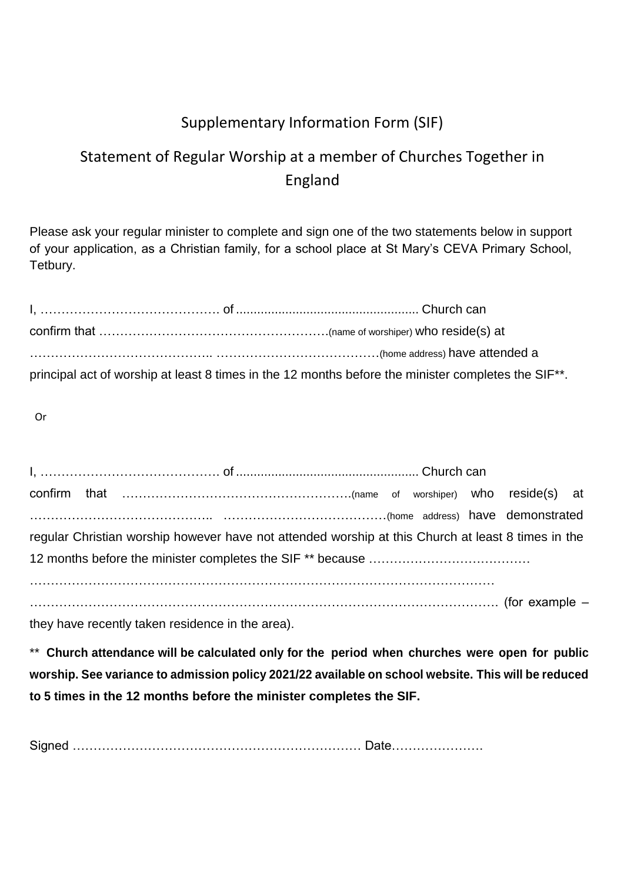## Supplementary Information Form (SIF)

## Statement of Regular Worship at a member of Churches Together in England

Please ask your regular minister to complete and sign one of the two statements below in support of your application, as a Christian family, for a school place at St Mary's CEVA Primary School, Tetbury.

|  | increased to the address) have attended a successive contract of the contract of the set of the set of the set o |
|--|------------------------------------------------------------------------------------------------------------------|
|  | principal act of worship at least 8 times in the 12 months before the minister completes the SIF <sup>**</sup> . |

Or

|  | home address) have demonstrated                                                                    |  |  |  |
|--|----------------------------------------------------------------------------------------------------|--|--|--|
|  | regular Christian worship however have not attended worship at this Church at least 8 times in the |  |  |  |
|  |                                                                                                    |  |  |  |
|  |                                                                                                    |  |  |  |
|  |                                                                                                    |  |  |  |

they have recently taken residence in the area).

\*\* **Church attendance will be calculated only for the period when churches were open for public worship. See variance to admission policy 2021/22 available on school website. This will be reduced to 5 times in the 12 months before the minister completes the SIF.**

Signed …………………………………………………………… Date………………….